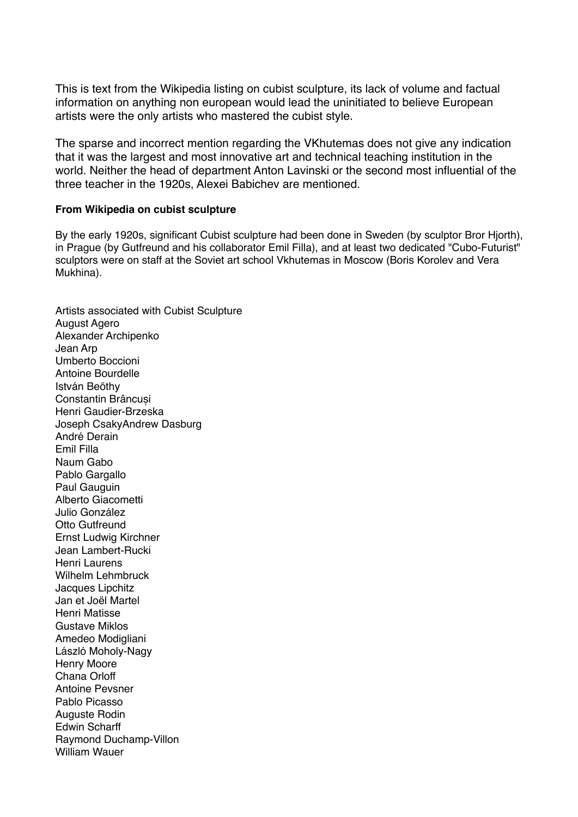This is text from the Wikipedia listing on cubist sculpture, its lack of volume and factual information on anything non european would lead the uninitiated to believe European artists were the only artists who mastered the cubist style.

The sparse and incorrect mention regarding the VKhutemas does not give any indication that it was the largest and most innovative art and technical teaching institution in the world. Neither the head of department Anton Lavinski or the second most influential of the three teacher in the 1920s, Alexei Babichev are mentioned.

## **From Wikipedia on cubist sculpture**

By the early 1920s, significant Cubist sculpture had been done in Sweden (by sculptor Bror Hjorth), in Prague (by Gutfreund and his collaborator Emil Filla), and at least two dedicated "Cubo-Futurist" sculptors were on staff at the Soviet art school Vkhutemas in Moscow (Boris Korolev and Vera Mukhina).

Artists associated with Cubist Sculpture August Agero Alexander Archipenko Jean Arp Umberto Boccioni Antoine Bourdelle István Beöthy Constantin Brâncuși Henri Gaudier-Brzeska Joseph CsakyAndrew Dasburg André Derain Emil Filla Naum Gabo Pablo Gargallo Paul Gauguin Alberto Giacometti Julio González Otto Gutfreund Ernst Ludwig Kirchner Jean Lambert-Rucki Henri Laurens Wilhelm Lehmbruck Jacques Lipchitz Jan et Joël Martel Henri Matisse Gustave Miklos Amedeo Modigliani László Moholy-Nagy Henry Moore Chana Orloff Antoine Pevsner Pablo Picasso Auguste Rodin Edwin Scharff Raymond Duchamp-Villon William Wauer